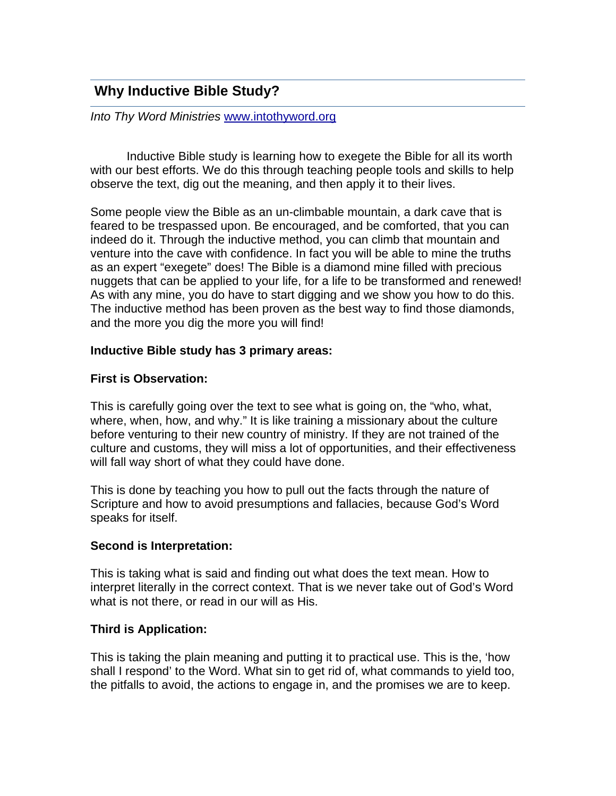# **Why Inductive Bible Study?**

*Into Thy Word Ministries* www.intothyword.org

Inductive Bible study is learning how to exegete the Bible for all its worth with our best efforts. We do this through teaching people tools and skills to help observe the text, dig out the meaning, and then apply it to their lives.

Some people view the Bible as an un-climbable mountain, a dark cave that is feared to be trespassed upon. Be encouraged, and be comforted, that you can indeed do it. Through the inductive method, you can climb that mountain and venture into the cave with confidence. In fact you will be able to mine the truths as an expert "exegete" does! The Bible is a diamond mine filled with precious nuggets that can be applied to your life, for a life to be transformed and renewed! As with any mine, you do have to start digging and we show you how to do this. The inductive method has been proven as the best way to find those diamonds, and the more you dig the more you will find!

#### **Inductive Bible study has 3 primary areas:**

#### **First is Observation:**

This is carefully going over the text to see what is going on, the "who, what, where, when, how, and why." It is like training a missionary about the culture before venturing to their new country of ministry. If they are not trained of the culture and customs, they will miss a lot of opportunities, and their effectiveness will fall way short of what they could have done.

This is done by teaching you how to pull out the facts through the nature of Scripture and how to avoid presumptions and fallacies, because God's Word speaks for itself.

#### **Second is Interpretation:**

This is taking what is said and finding out what does the text mean. How to interpret literally in the correct context. That is we never take out of God's Word what is not there, or read in our will as His.

#### **Third is Application:**

This is taking the plain meaning and putting it to practical use. This is the, 'how shall I respond' to the Word. What sin to get rid of, what commands to yield too, the pitfalls to avoid, the actions to engage in, and the promises we are to keep.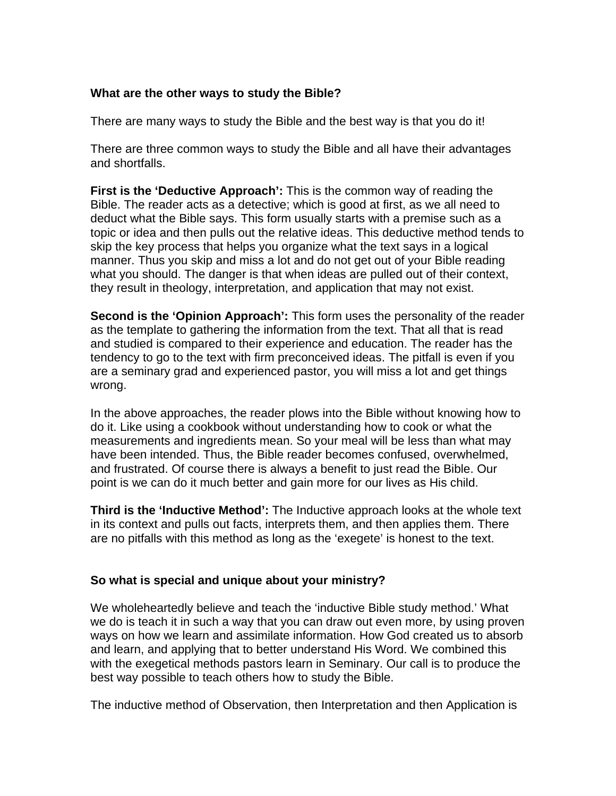#### **What are the other ways to study the Bible?**

There are many ways to study the Bible and the best way is that you do it!

There are three common ways to study the Bible and all have their advantages and shortfalls.

**First is the 'Deductive Approach':** This is the common way of reading the Bible. The reader acts as a detective; which is good at first, as we all need to deduct what the Bible says. This form usually starts with a premise such as a topic or idea and then pulls out the relative ideas. This deductive method tends to skip the key process that helps you organize what the text says in a logical manner. Thus you skip and miss a lot and do not get out of your Bible reading what you should. The danger is that when ideas are pulled out of their context, they result in theology, interpretation, and application that may not exist.

**Second is the 'Opinion Approach':** This form uses the personality of the reader as the template to gathering the information from the text. That all that is read and studied is compared to their experience and education. The reader has the tendency to go to the text with firm preconceived ideas. The pitfall is even if you are a seminary grad and experienced pastor, you will miss a lot and get things wrong.

In the above approaches, the reader plows into the Bible without knowing how to do it. Like using a cookbook without understanding how to cook or what the measurements and ingredients mean. So your meal will be less than what may have been intended. Thus, the Bible reader becomes confused, overwhelmed, and frustrated. Of course there is always a benefit to just read the Bible. Our point is we can do it much better and gain more for our lives as His child.

**Third is the 'Inductive Method':** The Inductive approach looks at the whole text in its context and pulls out facts, interprets them, and then applies them. There are no pitfalls with this method as long as the 'exegete' is honest to the text.

#### **So what is special and unique about your ministry?**

We wholeheartedly believe and teach the 'inductive Bible study method.' What we do is teach it in such a way that you can draw out even more, by using proven ways on how we learn and assimilate information. How God created us to absorb and learn, and applying that to better understand His Word. We combined this with the exegetical methods pastors learn in Seminary. Our call is to produce the best way possible to teach others how to study the Bible.

The inductive method of Observation, then Interpretation and then Application is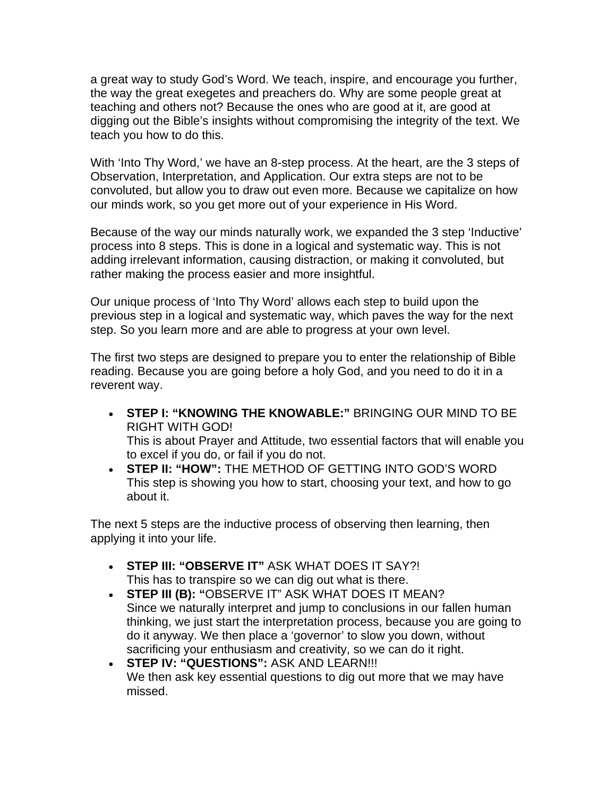a great way to study God's Word. We teach, inspire, and encourage you further, the way the great exegetes and preachers do. Why are some people great at teaching and others not? Because the ones who are good at it, are good at digging out the Bible's insights without compromising the integrity of the text. We teach you how to do this.

With 'Into Thy Word,' we have an 8-step process. At the heart, are the 3 steps of Observation, Interpretation, and Application. Our extra steps are not to be convoluted, but allow you to draw out even more. Because we capitalize on how our minds work, so you get more out of your experience in His Word.

Because of the way our minds naturally work, we expanded the 3 step 'Inductive' process into 8 steps. This is done in a logical and systematic way. This is not adding irrelevant information, causing distraction, or making it convoluted, but rather making the process easier and more insightful.

Our unique process of 'Into Thy Word' allows each step to build upon the previous step in a logical and systematic way, which paves the way for the next step. So you learn more and are able to progress at your own level.

The first two steps are designed to prepare you to enter the relationship of Bible reading. Because you are going before a holy God, and you need to do it in a reverent way.

- **STEP I: "KNOWING THE KNOWABLE:"** BRINGING OUR MIND TO BE RIGHT WITH GOD! This is about Prayer and Attitude, two essential factors that will enable you to excel if you do, or fail if you do not.
- **STEP II: "HOW":** THE METHOD OF GETTING INTO GOD'S WORD This step is showing you how to start, choosing your text, and how to go about it.

The next 5 steps are the inductive process of observing then learning, then applying it into your life.

- **STEP III: "OBSERVE IT"** ASK WHAT DOES IT SAY?! This has to transpire so we can dig out what is there.
- **STEP III (B): "**OBSERVE IT" ASK WHAT DOES IT MEAN? Since we naturally interpret and jump to conclusions in our fallen human thinking, we just start the interpretation process, because you are going to do it anyway. We then place a 'governor' to slow you down, without sacrificing your enthusiasm and creativity, so we can do it right.
- **STEP IV: "QUESTIONS":** ASK AND LEARN!!! We then ask key essential questions to dig out more that we may have missed.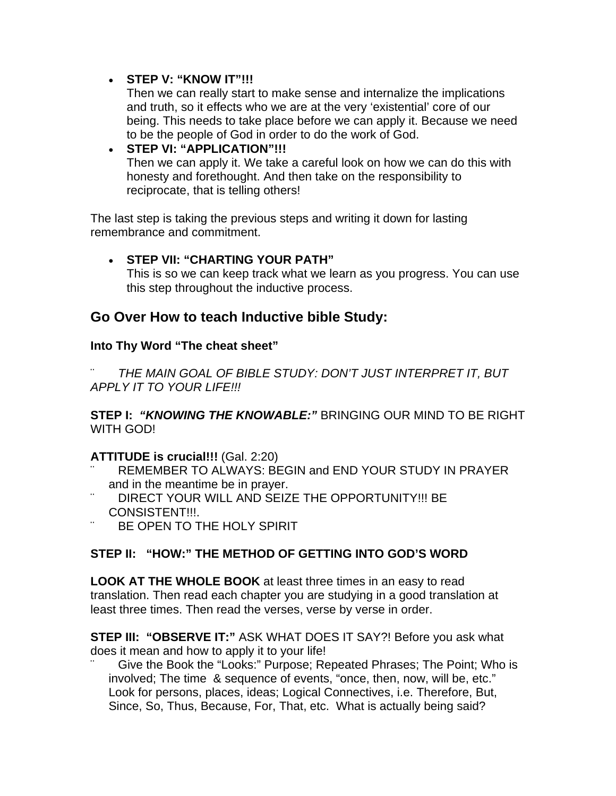#### • **STEP V: "KNOW IT"!!!**

Then we can really start to make sense and internalize the implications and truth, so it effects who we are at the very 'existential' core of our being. This needs to take place before we can apply it. Because we need to be the people of God in order to do the work of God.

#### • **STEP VI: "APPLICATION"!!!**

Then we can apply it. We take a careful look on how we can do this with honesty and forethought. And then take on the responsibility to reciprocate, that is telling others!

The last step is taking the previous steps and writing it down for lasting remembrance and commitment.

## • **STEP VII: "CHARTING YOUR PATH"**

This is so we can keep track what we learn as you progress. You can use this step throughout the inductive process.

# **Go Over How to teach Inductive bible Study:**

## **Into Thy Word "The cheat sheet"**

THE MAIN GOAL OF BIBLE STUDY: DON'T JUST INTERPRET IT, BUT *APPLY IT TO YOUR LIFE!!!*

**STEP I:** *"KNOWING THE KNOWABLE:"* BRINGING OUR MIND TO BE RIGHT WITH GOD!

#### **ATTITUDE is crucial!!!** (Gal. 2:20)

- REMEMBER TO ALWAYS: BEGIN and END YOUR STUDY IN PRAYER and in the meantime be in prayer.
- DIRECT YOUR WILL AND SEIZE THE OPPORTUNITY!!! BE CONSISTENT!!!.
- BE OPEN TO THE HOLY SPIRIT

# **STEP II: "HOW:" THE METHOD OF GETTING INTO GOD'S WORD**

**LOOK AT THE WHOLE BOOK** at least three times in an easy to read translation. Then read each chapter you are studying in a good translation at least three times. Then read the verses, verse by verse in order.

**STEP III: "OBSERVE IT:"** ASK WHAT DOES IT SAY?! Before you ask what does it mean and how to apply it to your life!

Give the Book the "Looks:" Purpose; Repeated Phrases; The Point; Who is involved; The time & sequence of events, "once, then, now, will be, etc." Look for persons, places, ideas; Logical Connectives, i.e. Therefore, But, Since, So, Thus, Because, For, That, etc. What is actually being said?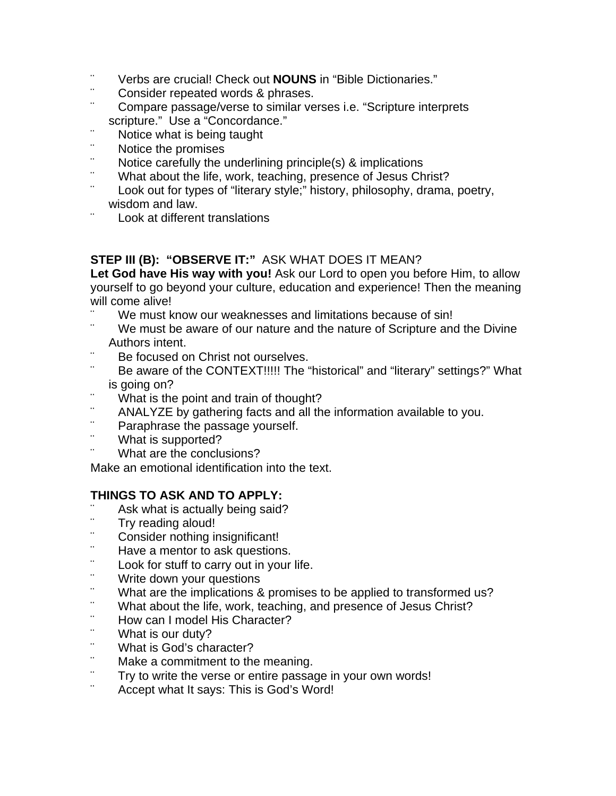- ¨ Verbs are crucial! Check out **NOUNS** in "Bible Dictionaries."
- ¨ Consider repeated words & phrases.
- Compare passage/verse to similar verses i.e. "Scripture interprets" scripture." Use a "Concordance."
- ¨ Notice what is being taught
- ¨ Notice the promises
- Notice carefully the underlining principle(s) & implications
- ¨ What about the life, work, teaching, presence of Jesus Christ?
- Look out for types of "literary style;" history, philosophy, drama, poetry, wisdom and law.
- Look at different translations

## **STEP III (B): "OBSERVE IT:"** ASK WHAT DOES IT MEAN?

**Let God have His way with you!** Ask our Lord to open you before Him, to allow yourself to go beyond your culture, education and experience! Then the meaning will come alive!

- ¨ We must know our weaknesses and limitations because of sin!
- We must be aware of our nature and the nature of Scripture and the Divine Authors intent.
- Be focused on Christ not ourselves.
- Be aware of the CONTEXT!!!!! The "historical" and "literary" settings?" What is going on?
- ¨ What is the point and train of thought?
- ¨ ANALYZE by gathering facts and all the information available to you.
- ¨ Paraphrase the passage yourself.
- ¨ What is supported?
- What are the conclusions?

Make an emotional identification into the text.

## **THINGS TO ASK AND TO APPLY:**

- ¨ Ask what is actually being said?
- ¨ Try reading aloud!
- ¨ Consider nothing insignificant!
- ¨ Have a mentor to ask questions.
- ¨ Look for stuff to carry out in your life.
- ¨ Write down your questions
- ¨ What are the implications & promises to be applied to transformed us?
- ¨ What about the life, work, teaching, and presence of Jesus Christ?
- ¨ How can I model His Character?
- ¨ What is our duty?
- ¨ What is God's character?
- Make a commitment to the meaning.
- ¨ Try to write the verse or entire passage in your own words!
- Accept what It says: This is God's Word!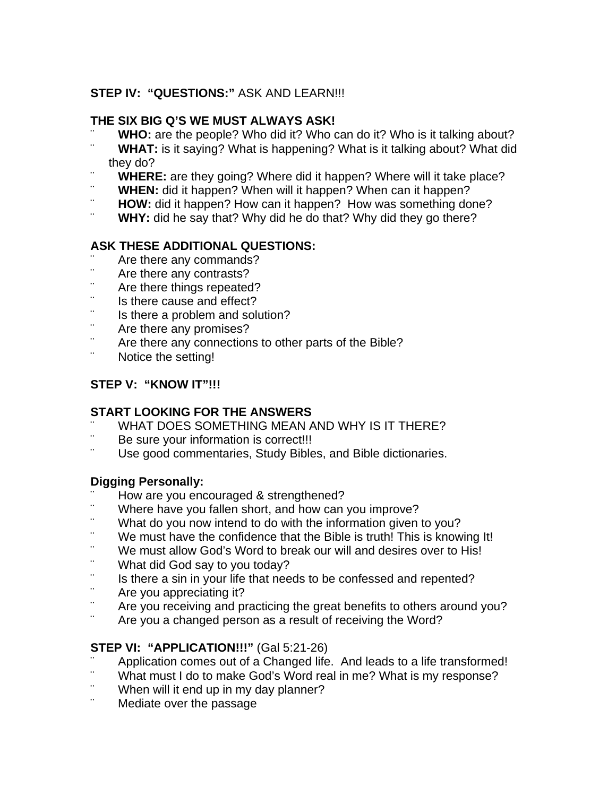# **STEP IV: "QUESTIONS:"** ASK AND LEARN!!!

#### **THE SIX BIG Q'S WE MUST ALWAYS ASK!**

- ¨ **WHO:** are the people? Who did it? Who can do it? Who is it talking about?
- **WHAT:** is it saying? What is happening? What is it talking about? What did they do?
- **WHERE:** are they going? Where did it happen? Where will it take place?
- ¨ **WHEN:** did it happen? When will it happen? When can it happen?
- ¨ **HOW:** did it happen? How can it happen? How was something done?
- **WHY:** did he say that? Why did he do that? Why did they go there?

# **ASK THESE ADDITIONAL QUESTIONS:**

- ¨ Are there any commands?
- ¨ Are there any contrasts?
- ¨ Are there things repeated?
- ¨ Is there cause and effect?
- ¨ Is there a problem and solution?
- ¨ Are there any promises?
- Are there any connections to other parts of the Bible?
- Notice the setting!

## **STEP V: "KNOW IT"!!!**

## **START LOOKING FOR THE ANSWERS**

- WHAT DOES SOMETHING MEAN AND WHY IS IT THERE?
- Be sure your information is correct!!!
- Use good commentaries, Study Bibles, and Bible dictionaries.

## **Digging Personally:**

- ¨ How are you encouraged & strengthened?
- ¨ Where have you fallen short, and how can you improve?
- ¨ What do you now intend to do with the information given to you?
- ¨ We must have the confidence that the Bible is truth! This is knowing It!
- ¨ We must allow God's Word to break our will and desires over to His!
- ¨ What did God say to you today?
- ¨ Is there a sin in your life that needs to be confessed and repented?
- ¨ Are you appreciating it?
- Are you receiving and practicing the great benefits to others around you?
- Are you a changed person as a result of receiving the Word?

## **STEP VI: "APPLICATION!!!"** (Gal 5:21-26)

- Application comes out of a Changed life. And leads to a life transformed!
- ¨ What must I do to make God's Word real in me? What is my response?
- ¨ When will it end up in my day planner?
- Mediate over the passage